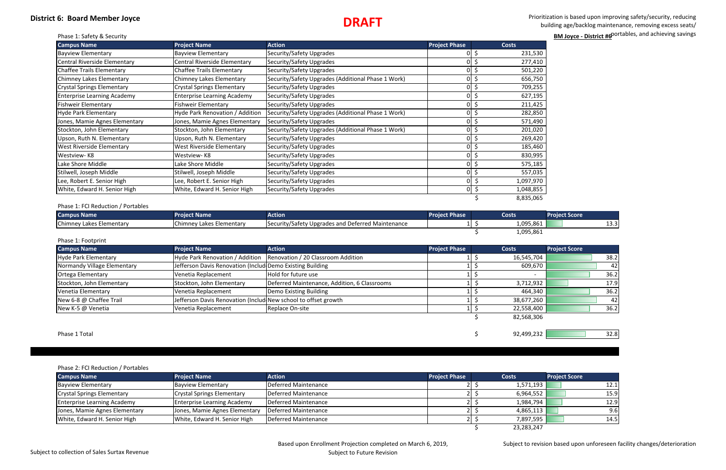Prioritization is based upon improving safety/security, reducing building age/backlog maintenance, removing excess seats/ portables, and achieving savings **BM Joyce - District #6**<sup>portables</sup>, and achieving savings

| 530              |  |
|------------------|--|
| 4<br>ſ           |  |
| 7<br>70          |  |
| 50               |  |
| '55              |  |
| 195<br>5         |  |
| 42!              |  |
| 850              |  |
| 490              |  |
| $\overline{020}$ |  |
| 420              |  |
| 460              |  |
| 995              |  |
| 185              |  |
| 035              |  |
| 970<br>855       |  |
|                  |  |
| 065              |  |
|                  |  |

## **District 6: Board Member Joyce DRAFT**

|  |  | Phase 1: Safety & Security |
|--|--|----------------------------|
|  |  |                            |

| <b>Campus Name</b>                 | <b>Project Name</b>                | <b>Action</b>                                      | <b>Project Phase</b> |          | <b>Costs</b> |
|------------------------------------|------------------------------------|----------------------------------------------------|----------------------|----------|--------------|
| <b>Bayview Elementary</b>          | <b>Bayview Elementary</b>          | Security/Safety Upgrades                           | ΟI                   | \$       | 231,530      |
| Central Riverside Elementary       | Central Riverside Elementary       | Security/Safety Upgrades                           |                      | \$<br>01 | 277,410      |
| Chaffee Trails Elementary          | <b>Chaffee Trails Elementary</b>   | Security/Safety Upgrades                           | ΟI                   | \$       | 501,220      |
| Chimney Lakes Elementary           | Chimney Lakes Elementary           | Security/Safety Upgrades (Additional Phase 1 Work) |                      | \$<br>01 | 656,750      |
| <b>Crystal Springs Elementary</b>  | Crystal Springs Elementary         | Security/Safety Upgrades                           |                      | 이 \$     | 709,255      |
| <b>Enterprise Learning Academy</b> | <b>Enterprise Learning Academy</b> | Security/Safety Upgrades                           |                      | \$       | 627,195      |
| <b>Fishweir Elementary</b>         | <b>Fishweir Elementary</b>         | Security/Safety Upgrades                           |                      | \$       | 211,425      |
| Hyde Park Elementary               | Hyde Park Renovation / Addition    | Security/Safety Upgrades (Additional Phase 1 Work) |                      |          | 282,850      |
| Jones, Mamie Agnes Elementary      | Jones, Mamie Agnes Elementary      | Security/Safety Upgrades                           |                      | \$       | 571,490      |
| Stockton, John Elementary          | Stockton, John Elementary          | Security/Safety Upgrades (Additional Phase 1 Work) |                      | \$       | 201,020      |
| Upson, Ruth N. Elementary          | Upson, Ruth N. Elementary          | Security/Safety Upgrades                           | ΩI                   | \$       | 269,420      |
| <b>West Riverside Elementary</b>   | West Riverside Elementary          | Security/Safety Upgrades                           | 01                   |          | 185,460      |
| Westview-K8                        | Westview- K8                       | Security/Safety Upgrades                           | 01                   | \$       | 830,995      |
| Lake Shore Middle                  | Lake Shore Middle                  | Security/Safety Upgrades                           | 01                   | \$       | 575,185      |
| Stilwell, Joseph Middle            | Stilwell, Joseph Middle            | Security/Safety Upgrades                           |                      |          | 557,035      |
| Lee, Robert E. Senior High         | Lee, Robert E. Senior High         | Security/Safety Upgrades                           |                      | Ş        | 1,097,970    |
| White, Edward H. Senior High       | White, Edward H. Senior High       | Security/Safety Upgrades                           | 01                   | \$       | 1,048,855    |
|                                    |                                    |                                                    |                      |          | 8,835,065    |

| <b>Campus Name</b>       | <b>Project Name</b>      | <b>Action'</b>                                    | <b>Project Phase</b> | <b>Costs</b> | <b>Project Score</b> |
|--------------------------|--------------------------|---------------------------------------------------|----------------------|--------------|----------------------|
| Chimney Lakes Elementary | Chimney Lakes Elementary | Security/Safety Upgrades and Deferred Maintenance |                      | 1,095,861    | ن.ر_                 |
|                          |                          |                                                   |                      | 1,095,861    |                      |

## Phase 1: Footprint

| <b>Campus Name</b>          | <b>Project Name</b>                                            | <b>Action</b>                                                      | <b>Project Phase</b> | Costs                    | <b>Project Score</b> |
|-----------------------------|----------------------------------------------------------------|--------------------------------------------------------------------|----------------------|--------------------------|----------------------|
| Hyde Park Elementary        |                                                                | Hyde Park Renovation / Addition Renovation / 20 Classroom Addition |                      | 16,545,704               | 38.2                 |
| Normandy Village Elementary | Jefferson Davis Renovation (Includ Demo Existing Building      |                                                                    |                      | 609,670                  | 42                   |
| <b>Ortega Elementary</b>    | Venetia Replacement                                            | Hold for future use                                                |                      | $\overline{\phantom{0}}$ | 36.2                 |
| Stockton, John Elementary   | Stockton, John Elementary                                      | Deferred Maintenance, Addition, 6 Classrooms                       |                      | 3,712,932                | 17.9                 |
| Venetia Elementary          | Venetia Replacement                                            | Demo Existing Building                                             |                      | 464,340                  | 36.2                 |
| New 6-8 @ Chaffee Trail     | Jefferson Davis Renovation (Includ New school to offset growth |                                                                    |                      | 38,677,260               | 42                   |
| New K-5 @ Venetia           | Venetia Replacement                                            | Replace On-site                                                    |                      | 22,558,400               | 36.2                 |
|                             |                                                                |                                                                    |                      | 82,568,306               |                      |
| Phase 1 Total               |                                                                |                                                                    |                      | 92,499,232               | 32.8                 |

### Phase 2: FCI Reduction / Portables

| <b>Campus Name</b>                 | <b>Project Name</b>                | <b>Action</b>        | <b>Project Phase</b> |  | <b>Costs</b> | <b>Project Score</b> |  |  |
|------------------------------------|------------------------------------|----------------------|----------------------|--|--------------|----------------------|--|--|
| <b>Bayview Elementary</b>          | Bayview Elementary                 | Deferred Maintenance |                      |  | 1,571,193    | 12.1                 |  |  |
| <b>Crystal Springs Elementary</b>  | <b>Crystal Springs Elementary</b>  | Deferred Maintenance |                      |  | 6,964,552    | 15.9                 |  |  |
| <b>Enterprise Learning Academy</b> | <b>Enterprise Learning Academy</b> | Deferred Maintenance |                      |  | 1,984,794    | 12.9                 |  |  |
| Jones, Mamie Agnes Elementary      | Jones, Mamie Agnes Elementary      | Deferred Maintenance |                      |  | 4,865,113    | 9.6                  |  |  |
| White, Edward H. Senior High       | White, Edward H. Senior High       | Deferred Maintenance |                      |  | 7,897,595    | 14.5                 |  |  |
|                                    |                                    |                      |                      |  | 23,283,247   |                      |  |  |

Subject to revision based upon unforeseen facility changes/deterioration